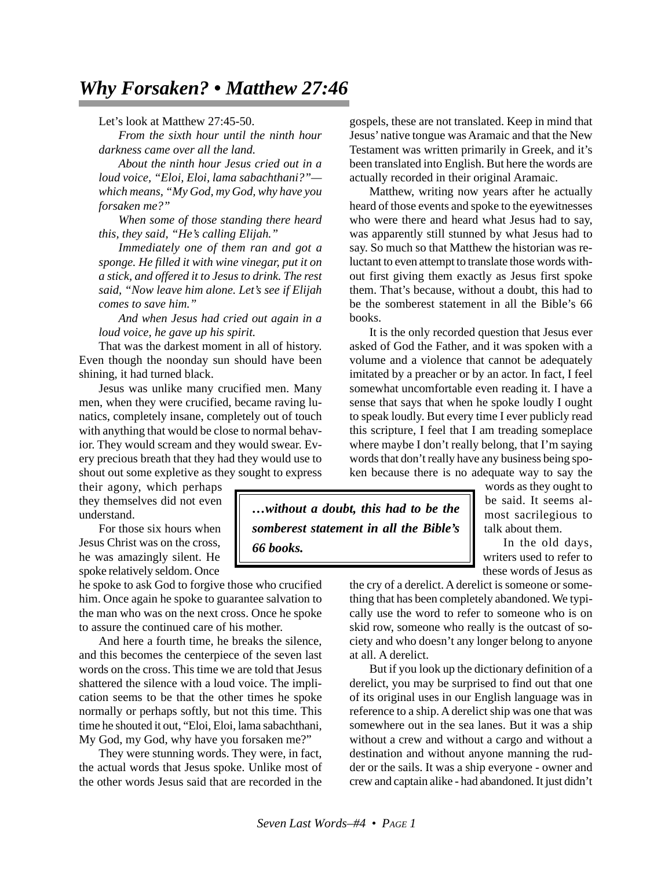## *Why Forsaken? • Matthew 27:46*

Let's look at Matthew 27:45-50.

*From the sixth hour until the ninth hour darkness came over all the land.*

*About the ninth hour Jesus cried out in a loud voice, "Eloi, Eloi, lama sabachthani?" which means, "My God, my God, why have you forsaken me?"*

*When some of those standing there heard this, they said, "He's calling Elijah."*

*Immediately one of them ran and got a sponge. He filled it with wine vinegar, put it on a stick, and offered it to Jesus to drink. The rest said, "Now leave him alone. Let's see if Elijah comes to save him."*

*And when Jesus had cried out again in a loud voice, he gave up his spirit.*

That was the darkest moment in all of history. Even though the noonday sun should have been shining, it had turned black.

Jesus was unlike many crucified men. Many men, when they were crucified, became raving lunatics, completely insane, completely out of touch with anything that would be close to normal behavior. They would scream and they would swear. Every precious breath that they had they would use to shout out some expletive as they sought to express

their agony, which perhaps they themselves did not even understand.

For those six hours when Jesus Christ was on the cross, he was amazingly silent. He spoke relatively seldom. Once

he spoke to ask God to forgive those who crucified him. Once again he spoke to guarantee salvation to the man who was on the next cross. Once he spoke to assure the continued care of his mother.

And here a fourth time, he breaks the silence, and this becomes the centerpiece of the seven last words on the cross. This time we are told that Jesus shattered the silence with a loud voice. The implication seems to be that the other times he spoke normally or perhaps softly, but not this time. This time he shouted it out, "Eloi, Eloi, lama sabachthani, My God, my God, why have you forsaken me?"

They were stunning words. They were, in fact, the actual words that Jesus spoke. Unlike most of the other words Jesus said that are recorded in the gospels, these are not translated. Keep in mind that Jesus' native tongue was Aramaic and that the New Testament was written primarily in Greek, and it's been translated into English. But here the words are actually recorded in their original Aramaic.

Matthew, writing now years after he actually heard of those events and spoke to the eyewitnesses who were there and heard what Jesus had to say, was apparently still stunned by what Jesus had to say. So much so that Matthew the historian was reluctant to even attempt to translate those words without first giving them exactly as Jesus first spoke them. That's because, without a doubt, this had to be the somberest statement in all the Bible's 66 books.

It is the only recorded question that Jesus ever asked of God the Father, and it was spoken with a volume and a violence that cannot be adequately imitated by a preacher or by an actor. In fact, I feel somewhat uncomfortable even reading it. I have a sense that says that when he spoke loudly I ought to speak loudly. But every time I ever publicly read this scripture, I feel that I am treading someplace where maybe I don't really belong, that I'm saying words that don't really have any business being spoken because there is no adequate way to say the

*…without a doubt, this had to be the somberest statement in all the Bible's 66 books.*

words as they ought to be said. It seems almost sacrilegious to talk about them.

In the old days, writers used to refer to these words of Jesus as

the cry of a derelict. A derelict is someone or something that has been completely abandoned. We typically use the word to refer to someone who is on skid row, someone who really is the outcast of society and who doesn't any longer belong to anyone at all. A derelict.

But if you look up the dictionary definition of a derelict, you may be surprised to find out that one of its original uses in our English language was in reference to a ship. A derelict ship was one that was somewhere out in the sea lanes. But it was a ship without a crew and without a cargo and without a destination and without anyone manning the rudder or the sails. It was a ship everyone - owner and crew and captain alike - had abandoned. It just didn't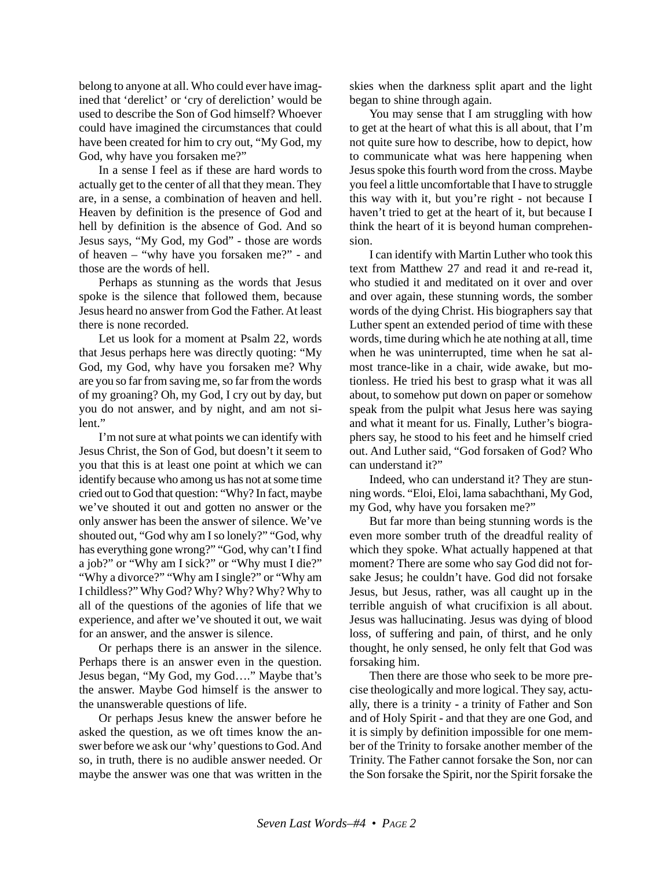belong to anyone at all. Who could ever have imagined that 'derelict' or 'cry of dereliction' would be used to describe the Son of God himself? Whoever could have imagined the circumstances that could have been created for him to cry out, "My God, my God, why have you forsaken me?"

In a sense I feel as if these are hard words to actually get to the center of all that they mean. They are, in a sense, a combination of heaven and hell. Heaven by definition is the presence of God and hell by definition is the absence of God. And so Jesus says, "My God, my God" - those are words of heaven – "why have you forsaken me?" - and those are the words of hell.

Perhaps as stunning as the words that Jesus spoke is the silence that followed them, because Jesus heard no answer from God the Father. At least there is none recorded.

Let us look for a moment at Psalm 22, words that Jesus perhaps here was directly quoting: "My God, my God, why have you forsaken me? Why are you so far from saving me, so far from the words of my groaning? Oh, my God, I cry out by day, but you do not answer, and by night, and am not silent."

I'm not sure at what points we can identify with Jesus Christ, the Son of God, but doesn't it seem to you that this is at least one point at which we can identify because who among us has not at some time cried out to God that question: "Why? In fact, maybe we've shouted it out and gotten no answer or the only answer has been the answer of silence. We've shouted out, "God why am I so lonely?" "God, why has everything gone wrong?" "God, why can't I find a job?" or "Why am I sick?" or "Why must I die?" "Why a divorce?" "Why am I single?" or "Why am I childless?" Why God? Why? Why? Why? Why to all of the questions of the agonies of life that we experience, and after we've shouted it out, we wait for an answer, and the answer is silence.

Or perhaps there is an answer in the silence. Perhaps there is an answer even in the question. Jesus began, "My God, my God…." Maybe that's the answer. Maybe God himself is the answer to the unanswerable questions of life.

Or perhaps Jesus knew the answer before he asked the question, as we oft times know the answer before we ask our 'why' questions to God. And so, in truth, there is no audible answer needed. Or maybe the answer was one that was written in the skies when the darkness split apart and the light began to shine through again.

You may sense that I am struggling with how to get at the heart of what this is all about, that I'm not quite sure how to describe, how to depict, how to communicate what was here happening when Jesus spoke this fourth word from the cross. Maybe you feel a little uncomfortable that I have to struggle this way with it, but you're right - not because I haven't tried to get at the heart of it, but because I think the heart of it is beyond human comprehension.

I can identify with Martin Luther who took this text from Matthew 27 and read it and re-read it, who studied it and meditated on it over and over and over again, these stunning words, the somber words of the dying Christ. His biographers say that Luther spent an extended period of time with these words, time during which he ate nothing at all, time when he was uninterrupted, time when he sat almost trance-like in a chair, wide awake, but motionless. He tried his best to grasp what it was all about, to somehow put down on paper or somehow speak from the pulpit what Jesus here was saying and what it meant for us. Finally, Luther's biographers say, he stood to his feet and he himself cried out. And Luther said, "God forsaken of God? Who can understand it?"

Indeed, who can understand it? They are stunning words. "Eloi, Eloi, lama sabachthani, My God, my God, why have you forsaken me?"

But far more than being stunning words is the even more somber truth of the dreadful reality of which they spoke. What actually happened at that moment? There are some who say God did not forsake Jesus; he couldn't have. God did not forsake Jesus, but Jesus, rather, was all caught up in the terrible anguish of what crucifixion is all about. Jesus was hallucinating. Jesus was dying of blood loss, of suffering and pain, of thirst, and he only thought, he only sensed, he only felt that God was forsaking him.

Then there are those who seek to be more precise theologically and more logical. They say, actually, there is a trinity - a trinity of Father and Son and of Holy Spirit - and that they are one God, and it is simply by definition impossible for one member of the Trinity to forsake another member of the Trinity. The Father cannot forsake the Son, nor can the Son forsake the Spirit, nor the Spirit forsake the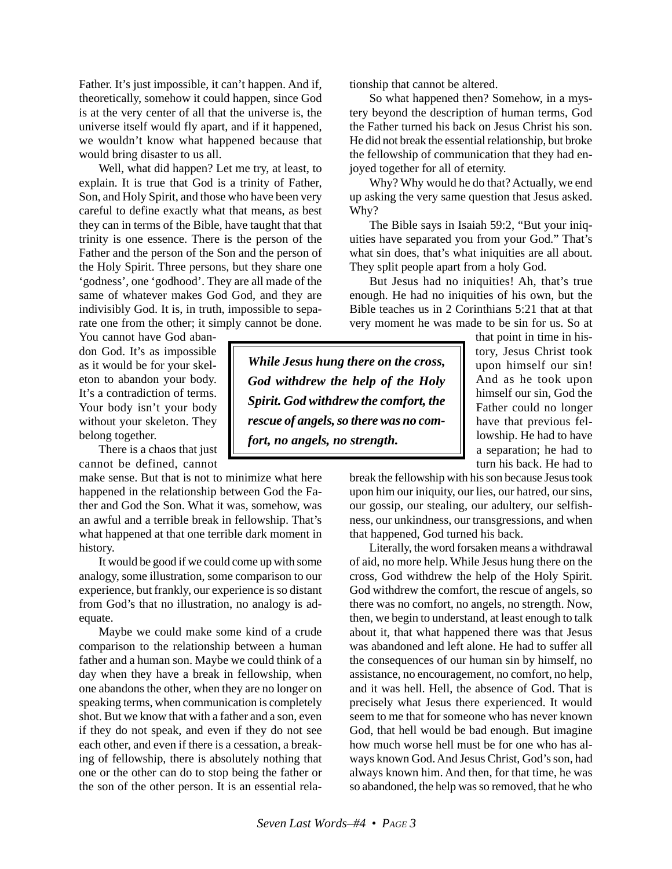Father. It's just impossible, it can't happen. And if, theoretically, somehow it could happen, since God is at the very center of all that the universe is, the universe itself would fly apart, and if it happened, we wouldn't know what happened because that would bring disaster to us all.

Well, what did happen? Let me try, at least, to explain. It is true that God is a trinity of Father, Son, and Holy Spirit, and those who have been very careful to define exactly what that means, as best they can in terms of the Bible, have taught that that trinity is one essence. There is the person of the Father and the person of the Son and the person of the Holy Spirit. Three persons, but they share one 'godness', one 'godhood'. They are all made of the same of whatever makes God God, and they are indivisibly God. It is, in truth, impossible to separate one from the other; it simply cannot be done.

You cannot have God abandon God. It's as impossible as it would be for your skeleton to abandon your body. It's a contradiction of terms. Your body isn't your body without your skeleton. They belong together.

There is a chaos that just cannot be defined, cannot

make sense. But that is not to minimize what here happened in the relationship between God the Father and God the Son. What it was, somehow, was an awful and a terrible break in fellowship. That's what happened at that one terrible dark moment in history.

It would be good if we could come up with some analogy, some illustration, some comparison to our experience, but frankly, our experience is so distant from God's that no illustration, no analogy is adequate.

Maybe we could make some kind of a crude comparison to the relationship between a human father and a human son. Maybe we could think of a day when they have a break in fellowship, when one abandons the other, when they are no longer on speaking terms, when communication is completely shot. But we know that with a father and a son, even if they do not speak, and even if they do not see each other, and even if there is a cessation, a breaking of fellowship, there is absolutely nothing that one or the other can do to stop being the father or the son of the other person. It is an essential relationship that cannot be altered.

So what happened then? Somehow, in a mystery beyond the description of human terms, God the Father turned his back on Jesus Christ his son. He did not break the essential relationship, but broke the fellowship of communication that they had enjoyed together for all of eternity.

Why? Why would he do that? Actually, we end up asking the very same question that Jesus asked. Why?

The Bible says in Isaiah 59:2, "But your iniquities have separated you from your God." That's what sin does, that's what iniquities are all about. They split people apart from a holy God.

But Jesus had no iniquities! Ah, that's true enough. He had no iniquities of his own, but the Bible teaches us in 2 Corinthians 5:21 that at that very moment he was made to be sin for us. So at

*While Jesus hung there on the cross, God withdrew the help of the Holy Spirit. God withdrew the comfort, the rescue of angels, so there was no comfort, no angels, no strength.*

that point in time in history, Jesus Christ took upon himself our sin! And as he took upon himself our sin, God the Father could no longer have that previous fellowship. He had to have a separation; he had to turn his back. He had to

break the fellowship with his son because Jesus took upon him our iniquity, our lies, our hatred, our sins, our gossip, our stealing, our adultery, our selfishness, our unkindness, our transgressions, and when that happened, God turned his back.

Literally, the word forsaken means a withdrawal of aid, no more help. While Jesus hung there on the cross, God withdrew the help of the Holy Spirit. God withdrew the comfort, the rescue of angels, so there was no comfort, no angels, no strength. Now, then, we begin to understand, at least enough to talk about it, that what happened there was that Jesus was abandoned and left alone. He had to suffer all the consequences of our human sin by himself, no assistance, no encouragement, no comfort, no help, and it was hell. Hell, the absence of God. That is precisely what Jesus there experienced. It would seem to me that for someone who has never known God, that hell would be bad enough. But imagine how much worse hell must be for one who has always known God. And Jesus Christ, God's son, had always known him. And then, for that time, he was so abandoned, the help was so removed, that he who